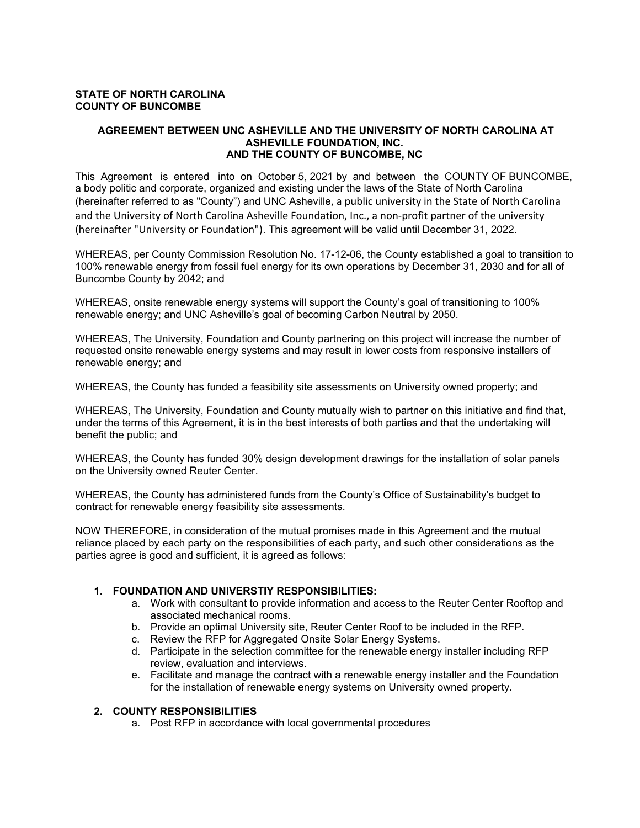#### **STATE OF NORTH CAROLINA COUNTY OF BUNCOMBE**

#### **AGREEMENT BETWEEN UNC ASHEVILLE AND THE UNIVERSITY OF NORTH CAROLINA AT ASHEVILLE FOUNDATION, INC. AND THE COUNTY OF BUNCOMBE, NC**

This Agreement is entered into on October 5, 2021 by and between the COUNTY OF BUNCOMBE, a body politic and corporate, organized and existing under the laws of the State of North Carolina (hereinafter referred to as "County") and UNC Asheville, a public university in the State of North Carolina and the University of North Carolina Asheville Foundation, Inc., a non-profit partner of the university (hereinafter "University or Foundation"). This agreement will be valid until December 31, 2022.

WHEREAS, per County Commission Resolution No. 17-12-06, the County established a goal to transition to 100% renewable energy from fossil fuel energy for its own operations by December 31, 2030 and for all of Buncombe County by 2042; and

WHEREAS, onsite renewable energy systems will support the County's goal of transitioning to 100% renewable energy; and UNC Asheville's goal of becoming Carbon Neutral by 2050.

WHEREAS, The University, Foundation and County partnering on this project will increase the number of requested onsite renewable energy systems and may result in lower costs from responsive installers of renewable energy; and

WHEREAS, the County has funded a feasibility site assessments on University owned property; and

WHEREAS, The University, Foundation and County mutually wish to partner on this initiative and find that, under the terms of this Agreement, it is in the best interests of both parties and that the undertaking will benefit the public; and

WHEREAS, the County has funded 30% design development drawings for the installation of solar panels on the University owned Reuter Center.

WHEREAS, the County has administered funds from the County's Office of Sustainability's budget to contract for renewable energy feasibility site assessments.

NOW THEREFORE, in consideration of the mutual promises made in this Agreement and the mutual reliance placed by each party on the responsibilities of each party, and such other considerations as the parties agree is good and sufficient, it is agreed as follows:

#### **1. FOUNDATION AND UNIVERSTIY RESPONSIBILITIES:**

- a. Work with consultant to provide information and access to the Reuter Center Rooftop and associated mechanical rooms.
- b. Provide an optimal University site, Reuter Center Roof to be included in the RFP.
- c. Review the RFP for Aggregated Onsite Solar Energy Systems.
- d. Participate in the selection committee for the renewable energy installer including RFP review, evaluation and interviews.
- e. Facilitate and manage the contract with a renewable energy installer and the Foundation for the installation of renewable energy systems on University owned property.

#### **2. COUNTY RESPONSIBILITIES**

a. Post RFP in accordance with local governmental procedures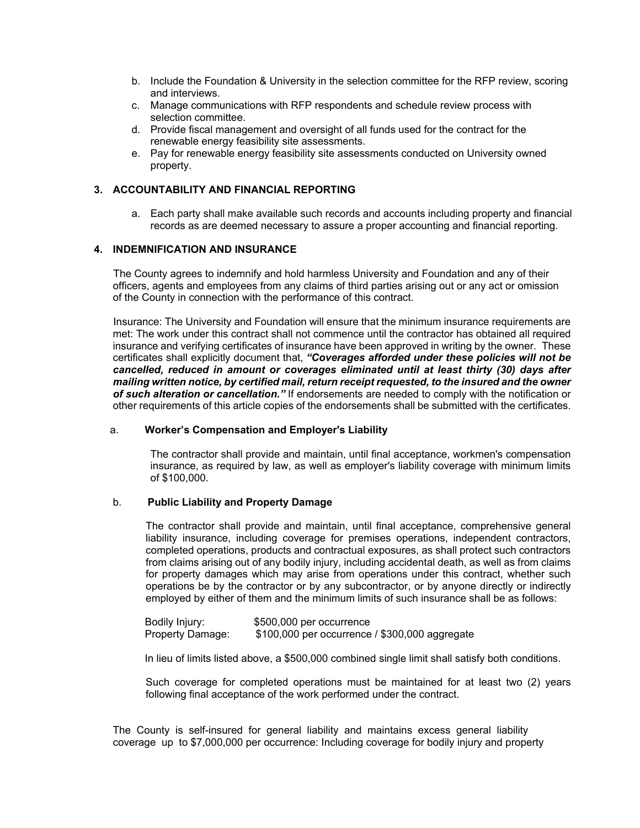- b. Include the Foundation & University in the selection committee for the RFP review, scoring and interviews.
- c. Manage communications with RFP respondents and schedule review process with selection committee.
- d. Provide fiscal management and oversight of all funds used for the contract for the renewable energy feasibility site assessments.
- e. Pay for renewable energy feasibility site assessments conducted on University owned property.

## **3. ACCOUNTABILITY AND FINANCIAL REPORTING**

a. Each party shall make available such records and accounts including property and financial records as are deemed necessary to assure a proper accounting and financial reporting.

## **4. INDEMNIFICATION AND INSURANCE**

The County agrees to indemnify and hold harmless University and Foundation and any of their officers, agents and employees from any claims of third parties arising out or any act or omission of the County in connection with the performance of this contract.

Insurance: The University and Foundation will ensure that the minimum insurance requirements are met: The work under this contract shall not commence until the contractor has obtained all required insurance and verifying certificates of insurance have been approved in writing by the owner. These certificates shall explicitly document that, *"Coverages afforded under these policies will not be cancelled, reduced in amount or coverages eliminated until at least thirty (30) days after mailing written notice, by certified mail, return receipt requested, to the insured and the owner of such alteration or cancellation."* If endorsements are needed to comply with the notification or other requirements of this article copies of the endorsements shall be submitted with the certificates.

#### a. **Worker's Compensation and Employer's Liability**

The contractor shall provide and maintain, until final acceptance, workmen's compensation insurance, as required by law, as well as employer's liability coverage with minimum limits of \$100,000.

#### b. **Public Liability and Property Damage**

The contractor shall provide and maintain, until final acceptance, comprehensive general liability insurance, including coverage for premises operations, independent contractors, completed operations, products and contractual exposures, as shall protect such contractors from claims arising out of any bodily injury, including accidental death, as well as from claims for property damages which may arise from operations under this contract, whether such operations be by the contractor or by any subcontractor, or by anyone directly or indirectly employed by either of them and the minimum limits of such insurance shall be as follows:

Bodily Injury: \$500,000 per occurrence Property Damage: \$100,000 per occurrence / \$300,000 aggregate

In lieu of limits listed above, a \$500,000 combined single limit shall satisfy both conditions.

Such coverage for completed operations must be maintained for at least two (2) years following final acceptance of the work performed under the contract.

The County is self-insured for general liability and maintains excess general liability coverage up to \$7,000,000 per occurrence: Including coverage for bodily injury and property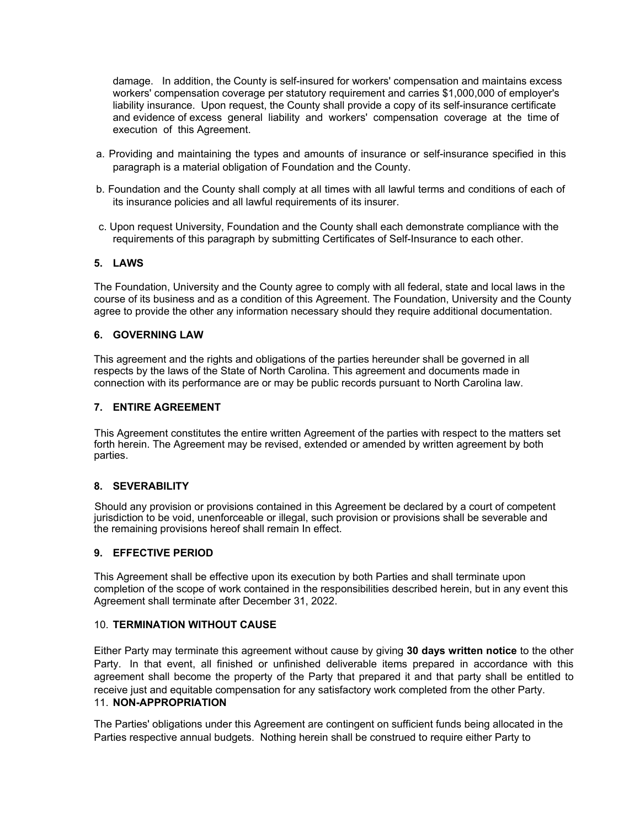damage. In addition, the County is self-insured for workers' compensation and maintains excess workers' compensation coverage per statutory requirement and carries \$1,000,000 of employer's liability insurance. Upon request, the County shall provide a copy of its self-insurance certificate and evidence of excess general liability and workers' compensation coverage at the time of execution of this Agreement.

- a. Providing and maintaining the types and amounts of insurance or self-insurance specified in this paragraph is a material obligation of Foundation and the County.
- b. Foundation and the County shall comply at all times with all lawful terms and conditions of each of its insurance policies and all lawful requirements of its insurer.
- c. Upon request University, Foundation and the County shall each demonstrate compliance with the requirements of this paragraph by submitting Certificates of Self-Insurance to each other.

#### **5. LAWS**

The Foundation, University and the County agree to comply with all federal, state and local laws in the course of its business and as a condition of this Agreement. The Foundation, University and the County agree to provide the other any information necessary should they require additional documentation.

#### **6. GOVERNING LAW**

This agreement and the rights and obligations of the parties hereunder shall be governed in all respects by the laws of the State of North Carolina. This agreement and documents made in connection with its performance are or may be public records pursuant to North Carolina law.

## **7. ENTIRE AGREEMENT**

This Agreement constitutes the entire written Agreement of the parties with respect to the matters set forth herein. The Agreement may be revised, extended or amended by written agreement by both parties.

#### **8. SEVERABILITY**

Should any provision or provisions contained in this Agreement be declared by a court of competent jurisdiction to be void, unenforceable or illegal, such provision or provisions shall be severable and the remaining provisions hereof shall remain In effect.

### **9. EFFECTIVE PERIOD**

This Agreement shall be effective upon its execution by both Parties and shall terminate upon completion of the scope of work contained in the responsibilities described herein, but in any event this Agreement shall terminate after December 31, 2022.

#### 10. **TERMINATION WITHOUT CAUSE**

Either Party may terminate this agreement without cause by giving **30 days written notice** to the other Party. In that event, all finished or unfinished deliverable items prepared in accordance with this agreement shall become the property of the Party that prepared it and that party shall be entitled to receive just and equitable compensation for any satisfactory work completed from the other Party. 11. **NON-APPROPRIATION**

The Parties' obligations under this Agreement are contingent on sufficient funds being allocated in the Parties respective annual budgets. Nothing herein shall be construed to require either Party to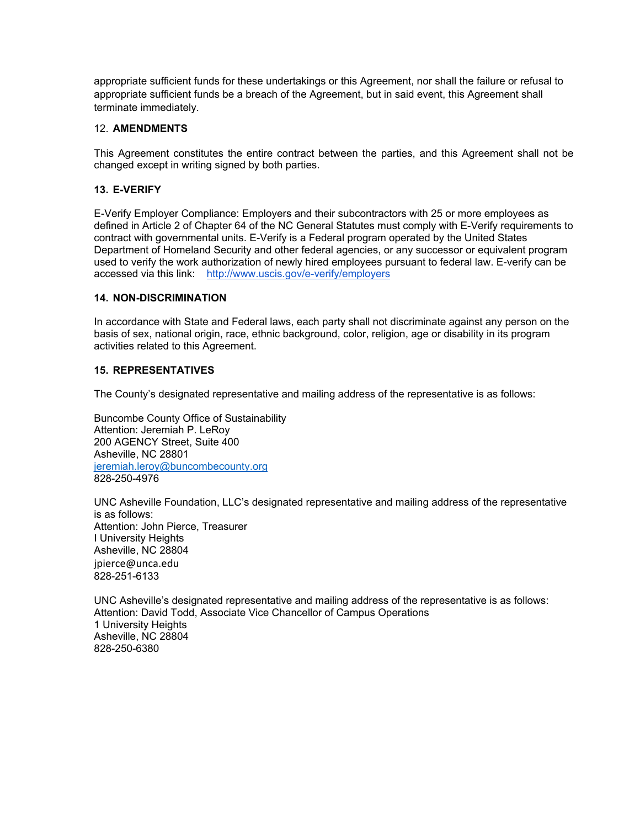appropriate sufficient funds for these undertakings or this Agreement, nor shall the failure or refusal to appropriate sufficient funds be a breach of the Agreement, but in said event, this Agreement shall terminate immediately.

### 12. **AMENDMENTS**

This Agreement constitutes the entire contract between the parties, and this Agreement shall not be changed except in writing signed by both parties.

## **13. E-VERIFY**

E-Verify Employer Compliance: Employers and their subcontractors with 25 or more employees as defined in Article 2 of Chapter 64 of the NC General Statutes must comply with E-Verify requirements to contract with governmental units. E-Verify is a Federal program operated by the United States Department of Homeland Security and other federal agencies, or any successor or equivalent program used to verify the work authorization of newly hired employees pursuant to federal law. E-verify can be accessed via this link: http://www.uscis.gov/e-verify/employers

#### **14. NON-DISCRIMINATION**

In accordance with State and Federal laws, each party shall not discriminate against any person on the basis of sex, national origin, race, ethnic background, color, religion, age or disability in its program activities related to this Agreement.

## **15. REPRESENTATIVES**

The County's designated representative and mailing address of the representative is as follows:

Buncombe County Office of Sustainability Attention: Jeremiah P. LeRoy 200 AGENCY Street, Suite 400 Asheville, NC 28801 jeremiah.leroy@buncombecounty.org 828-250-4976

UNC Asheville Foundation, LLC's designated representative and mailing address of the representative is as follows: Attention: John Pierce, Treasurer I University Heights Asheville, NC 28804 jpierce@unca.edu 828-251-6133

UNC Asheville's designated representative and mailing address of the representative is as follows: Attention: David Todd, Associate Vice Chancellor of Campus Operations 1 University Heights Asheville, NC 28804 828-250-6380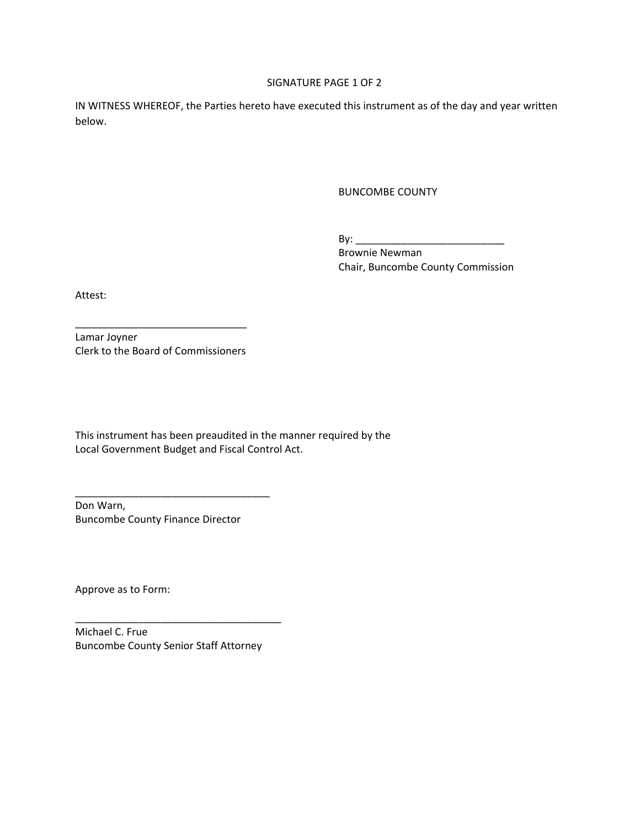#### SIGNATURE PAGE 1 OF 2

IN WITNESS WHEREOF, the Parties hereto have executed this instrument as of the day and year written below.

BUNCOMBE COUNTY

By: \_\_\_\_\_\_\_\_\_\_\_\_\_\_\_\_\_\_\_\_\_\_\_\_\_\_

 Brownie Newman Chair, Buncombe County Commission

Attest:

\_\_\_\_\_\_\_\_\_\_\_\_\_\_\_\_\_\_\_\_\_\_\_\_\_\_\_\_\_\_ Lamar Joyner Clerk to the Board of Commissioners

This instrument has been preaudited in the manner required by the Local Government Budget and Fiscal Control Act.

Don Warn, Buncombe County Finance Director

\_\_\_\_\_\_\_\_\_\_\_\_\_\_\_\_\_\_\_\_\_\_\_\_\_\_\_\_\_\_\_\_\_\_

Approve as to Form:

Michael C. Frue Buncombe County Senior Staff Attorney

\_\_\_\_\_\_\_\_\_\_\_\_\_\_\_\_\_\_\_\_\_\_\_\_\_\_\_\_\_\_\_\_\_\_\_\_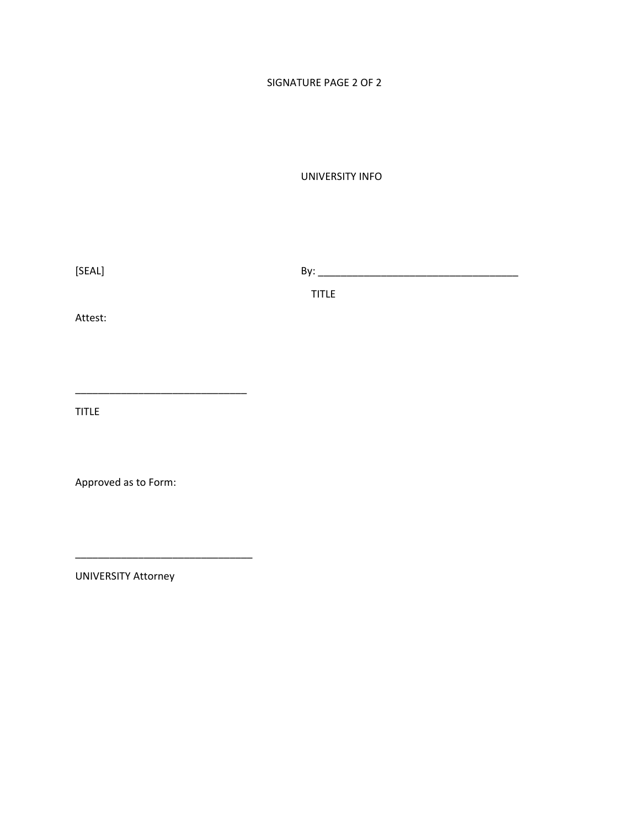# SIGNATURE PAGE 2 OF 2

UNIVERSITY INFO

 $[SEAL]$   $By:$   $By:$   $\Box$ 

**TITLE** THE RESERVE THE RESERVE THE RESERVE THE RESERVE THE RESERVE THE RESERVE THE RESERVE THE RESERVE THE RESERVE THE RESERVE THE RESERVE THE RESERVE THE RESERVE THE RESERVE THE RESERVE THE RESERVE THE RESERVE THE RESERV

Attest:

TITLE

Approved as to Form:

\_\_\_\_\_\_\_\_\_\_\_\_\_\_\_\_\_\_\_\_\_\_\_\_\_\_\_\_\_\_

\_\_\_\_\_\_\_\_\_\_\_\_\_\_\_\_\_\_\_\_\_\_\_\_\_\_\_\_\_\_\_

UNIVERSITY Attorney